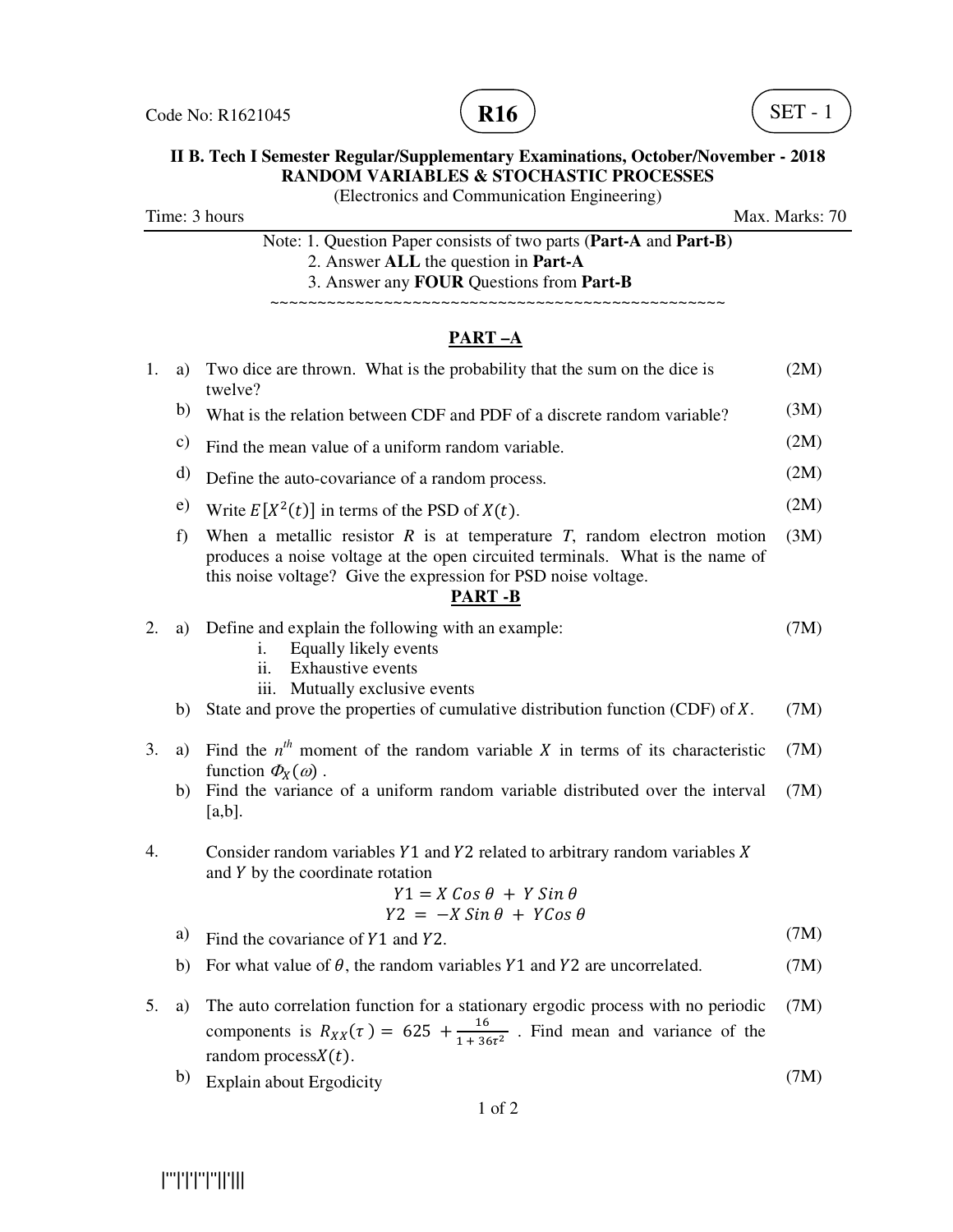



### **II B. Tech I Semester Regular/Supplementary Examinations, October/November - 2018 RANDOM VARIABLES & STOCHASTIC PROCESSES**

(Electronics and Communication Engineering)

Time: 3 hours Max. Marks: 70

| Note: 1. Question Paper consists of two parts (Part-A and Part-B) |
|-------------------------------------------------------------------|
| 2. Answer ALL the question in <b>Part-A</b>                       |
| 3. Answer any <b>FOUR</b> Questions from <b>Part-B</b>            |

~~~~~~~~~~~~~~~~~~~~~~~~~~~~~~~~~~~~~~~~~~~~~~~~

## **PART –A**

| 1. | a) | Two dice are thrown. What is the probability that the sum on the dice is<br>twelve?                                                                                                                                                              | (2M) |
|----|----|--------------------------------------------------------------------------------------------------------------------------------------------------------------------------------------------------------------------------------------------------|------|
|    | b) | What is the relation between CDF and PDF of a discrete random variable?                                                                                                                                                                          | (3M) |
|    | c) | Find the mean value of a uniform random variable.                                                                                                                                                                                                | (2M) |
|    | d) | Define the auto-covariance of a random process.                                                                                                                                                                                                  | (2M) |
|    | e) | Write $E[X^2(t)]$ in terms of the PSD of $X(t)$ .                                                                                                                                                                                                | (2M) |
|    | f) | When a metallic resistor $R$ is at temperature $T$ , random electron motion<br>produces a noise voltage at the open circuited terminals. What is the name of<br>this noise voltage? Give the expression for PSD noise voltage.<br><b>PART -B</b> | (3M) |
| 2. | a) | Define and explain the following with an example:<br>Equally likely events<br>i.<br><b>Exhaustive events</b><br>ii.<br>Mutually exclusive events<br>iii.                                                                                         | (7M) |
|    | b) | State and prove the properties of cumulative distribution function (CDF) of $X$ .                                                                                                                                                                | (7M) |
| 3. | a) | Find the $n^{th}$ moment of the random variable X in terms of its characteristic<br>function $\Phi_X(\omega)$ .                                                                                                                                  | (7M) |
|    | b) | Find the variance of a uniform random variable distributed over the interval<br>$[a,b]$ .                                                                                                                                                        | (7M) |
| 4. |    | Consider random variables $Y1$ and $Y2$ related to arbitrary random variables $X$<br>and Y by the coordinate rotation<br>$Y1 = X \cos \theta + Y \sin \theta$<br>$Y2 = -X Sin \theta + YCos \theta$                                              |      |
|    | a) | Find the covariance of Y1 and Y2.                                                                                                                                                                                                                | (7M) |
|    | b) | For what value of $\theta$ , the random variables Y1 and Y2 are uncorrelated.                                                                                                                                                                    | (7M) |
| 5. | a) | The auto correlation function for a stationary ergodic process with no periodic<br>components is $R_{XX}(\tau) = 625 + \frac{16}{1+36\tau^2}$ . Find mean and variance of the<br>random process $X(t)$ .                                         | (7M) |

b) Explain about Ergodicity (7M)

1 of 2

|'''|'|'|''|''||'|||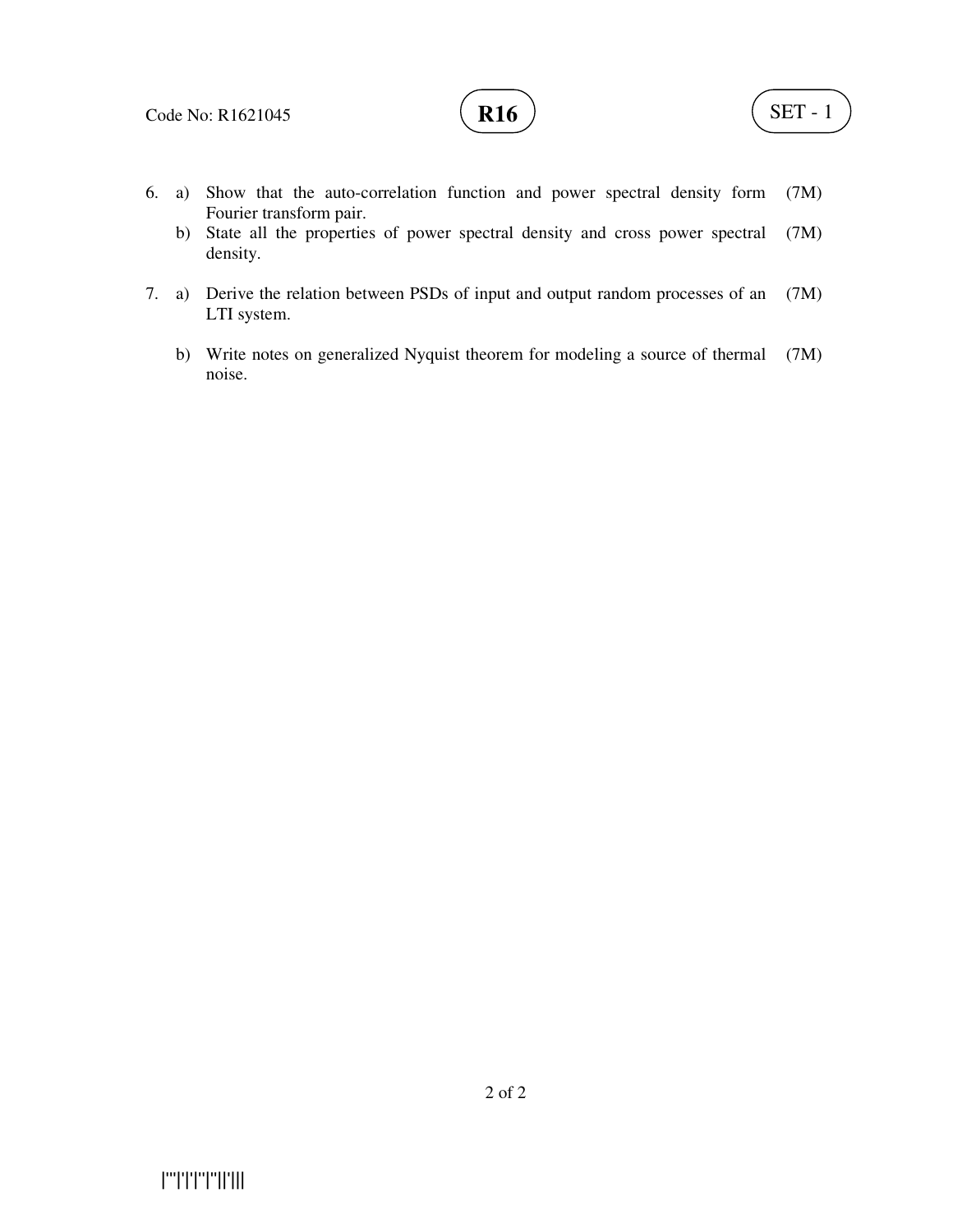

- 6. a) Show that the auto-correlation function and power spectral density form Fourier transform pair. (7M)
	- b) State all the properties of power spectral density and cross power spectral density. (7M)
- 7. a) Derive the relation between PSDs of input and output random processes of an LTI system. (7M)
- b) Write notes on generalized Nyquist theorem for modeling a source of thermal (7M) noise.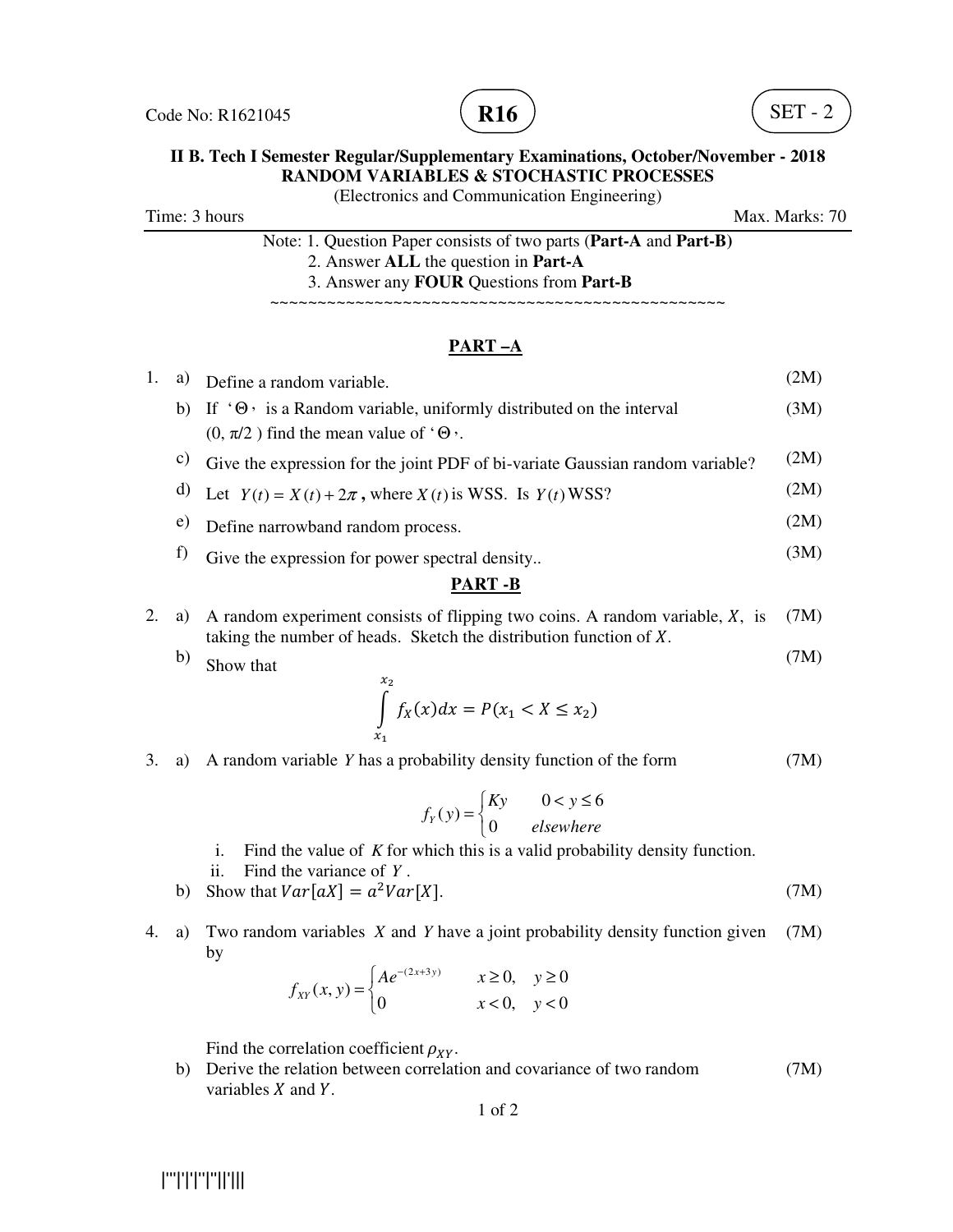



### **II B. Tech I Semester Regular/Supplementary Examinations, October/November - 2018 RANDOM VARIABLES & STOCHASTIC PROCESSES**

(Electronics and Communication Engineering)

Time: 3 hours Max. Marks: 70

| Note: 1. Question Paper consists of two parts (Part-A and Part-B) |
|-------------------------------------------------------------------|
| 2. Answer ALL the question in <b>Part-A</b>                       |
| 3. Answer any <b>FOUR</b> Questions from <b>Part-B</b>            |

~~~~~~~~~~~~~~~~~~~~~~~~~~~~~~~

### **PART –A**

| 1.            | a) | Define a random variable.                                                                                                                          | (2M) |  |
|---------------|----|----------------------------------------------------------------------------------------------------------------------------------------------------|------|--|
|               | b) | If $\Theta$ is a Random variable, uniformly distributed on the interval                                                                            | (3M) |  |
|               |    | $(0, \pi/2)$ find the mean value of ' $\Theta$ '.                                                                                                  |      |  |
|               | C) | Give the expression for the joint PDF of bi-variate Gaussian random variable?                                                                      | (2M) |  |
|               | d) | Let $Y(t) = X(t) + 2\pi$ , where $X(t)$ is WSS. Is $Y(t)$ WSS?                                                                                     | (2M) |  |
|               | e) | Define narrowband random process.                                                                                                                  | (2M) |  |
|               | f) | Give the expression for power spectral density                                                                                                     | (3M) |  |
| <b>PART-B</b> |    |                                                                                                                                                    |      |  |
| 2.            | a) | A random experiment consists of flipping two coins. A random variable, X, is<br>taking the number of heads. Sketch the distribution function of X. | (7M) |  |
|               | b) | Show that                                                                                                                                          | (7M) |  |
|               |    | $x_{2}$<br>$\int f_X(x)dx = P(x_1 < X \leq x_2)$                                                                                                   |      |  |
| 3.            | a) | A random variable Y has a probability density function of the form                                                                                 | [/M) |  |
|               |    | $\mathbf{r}$ $\mathbf{r}$ $\mathbf{r}$                                                                                                             |      |  |

- $0 < y \leq 6$  $(y)$  $\gamma(y)$ <sup>-</sup> $\left\{0\right\}$  $Kv$   $0 < v$  $f_v(y)$ *elsewhere*  $\begin{cases} Ky & 0 < y \leq \end{cases}$  $=\frac{1}{2}$  $\overline{\mathfrak{l}}$
- i. Find the value of *K* for which this is a valid probability density function.
- ii. Find the variance of *Y* .
- b) Show that  $Var[aX] = a^2Var[$  $X$ ]. (7M)
- 4. a) Two random variables *X* and *Y* have a joint probability density function given by (7M)

$$
f_{XY}(x, y) = \begin{cases} Ae^{-(2x+3y)} & x \ge 0, y \ge 0\\ 0 & x < 0, y < 0 \end{cases}
$$

Find the correlation coefficient  $\rho_{XY}$ .

 b) Derive the relation between correlation and covariance of two random variables  $X$  and  $Y$ . (7M)

1 of 2

|'''|'|'|''|''||'|||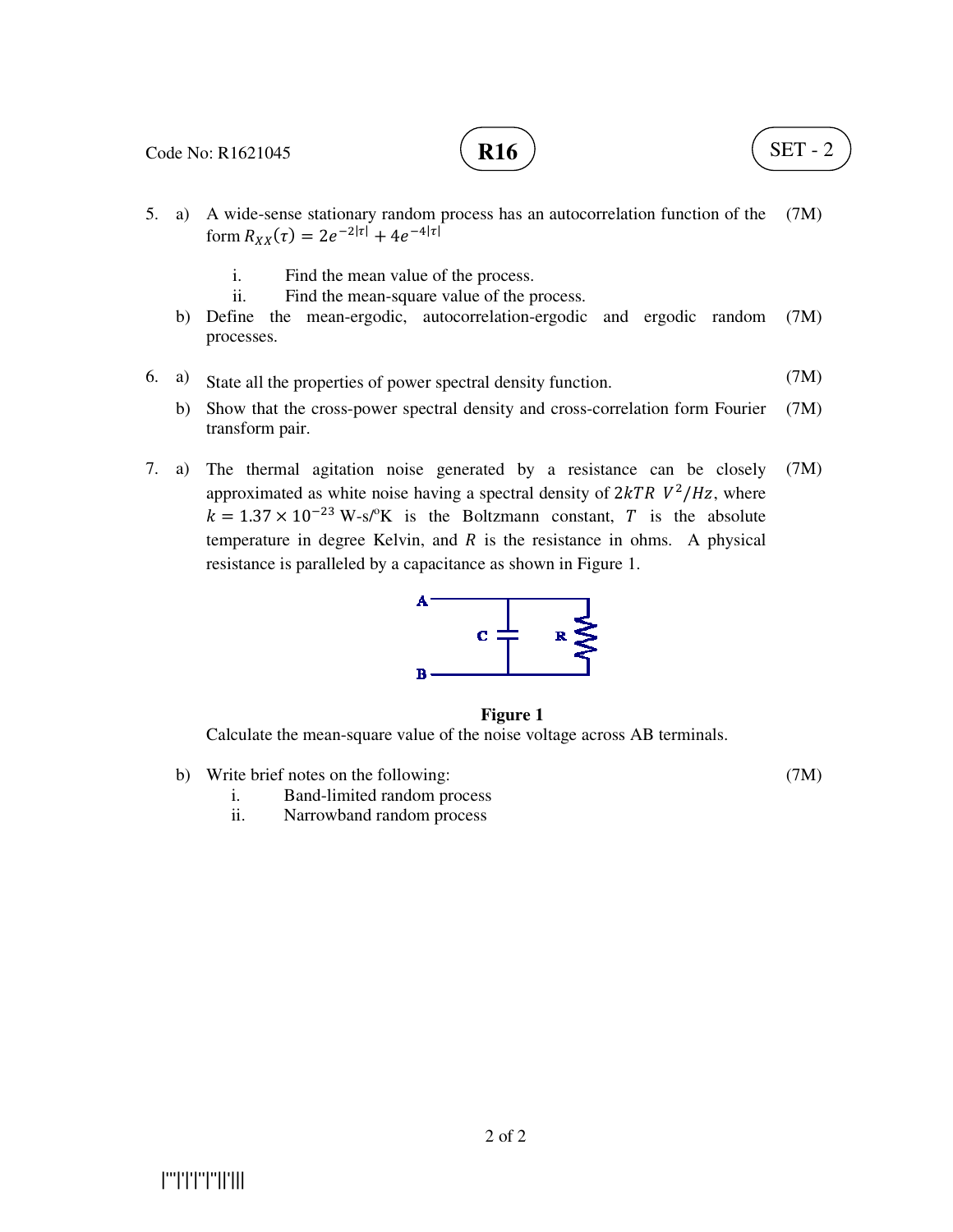

# **R16**  $\big)$  (SET - 2)

- 5. a) A wide-sense stationary random process has an autocorrelation function of the (7M) form  $R_{XX}(\tau) = 2e^{-2|\tau|} + 4e^{-4|\tau|}$ 
	- i. Find the mean value of the process.
	- ii. Find the mean-square value of the process.
	- b) Define the mean-ergodic, autocorrelation-ergodic and ergodic random processes. (7M)
- 6. a) State all the properties of power spectral density function. (7M)
	- b) Show that the cross-power spectral density and cross-correlation form Fourier transform pair. (7M)
- 7. a) The thermal agitation noise generated by a resistance can be closely approximated as white noise having a spectral density of  $2kTR V^2/Hz$ , where  $k = 1.37 \times 10^{-23}$  W-s/<sup>o</sup>K is the Boltzmann constant, T is the absolute temperature in degree Kelvin, and  $R$  is the resistance in ohms. A physical resistance is paralleled by a capacitance as shown in Figure 1. (7M)



#### **Figure 1**

Calculate the mean-square value of the noise voltage across AB terminals.

b) Write brief notes on the following:

(7M)

- i. Band-limited random process
- ii. Narrowband random process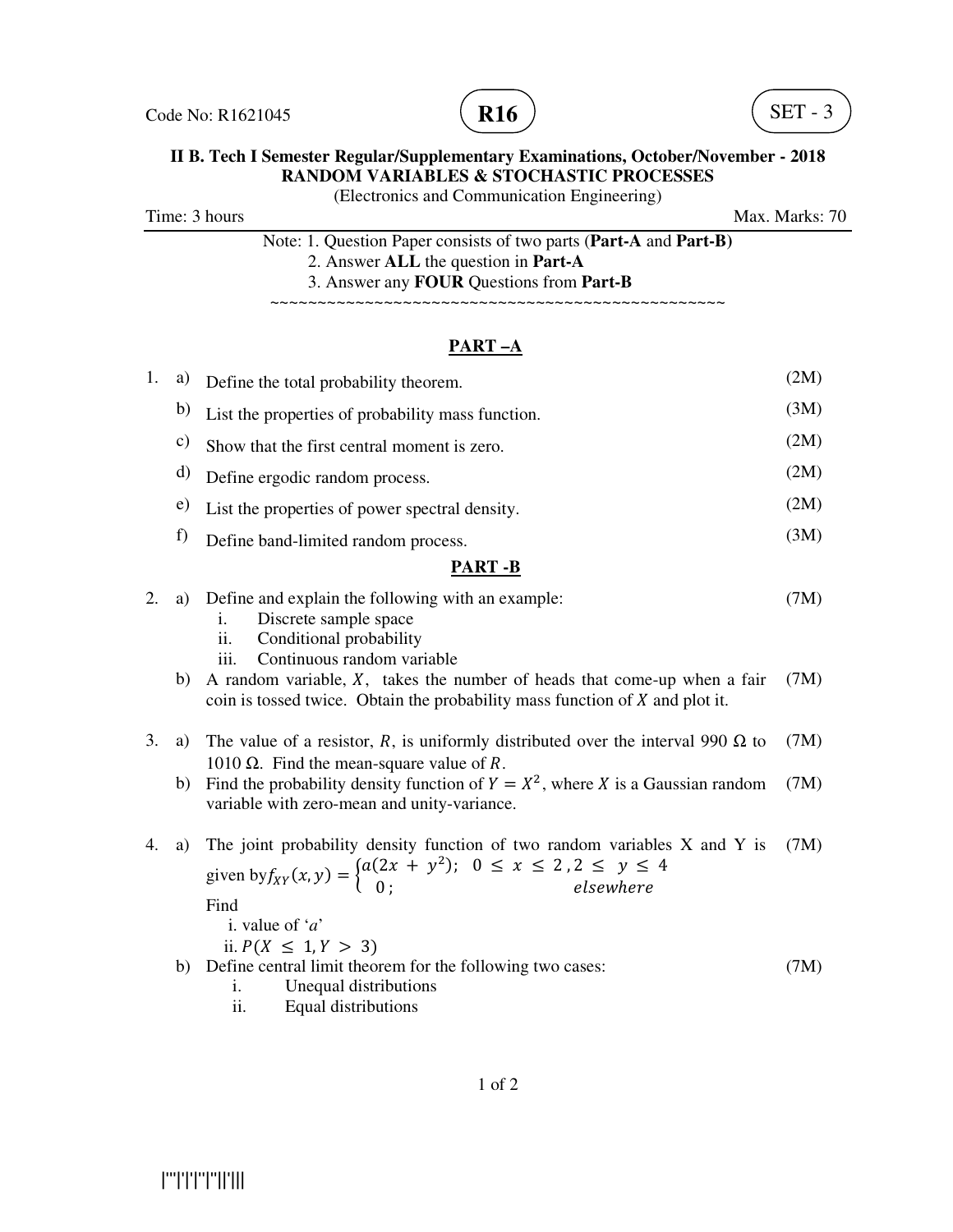



## **II B. Tech I Semester Regular/Supplementary Examinations, October/November - 2018 RANDOM VARIABLES & STOCHASTIC PROCESSES**

(Electronics and Communication Engineering)

Time: 3 hours Max. Marks: 70

| Note: 1. Question Paper consists of two parts (Part-A and Part-B) |
|-------------------------------------------------------------------|
| 2. Answer ALL the question in <b>Part-A</b>                       |
| 3. Answer any <b>FOUR</b> Questions from <b>Part-B</b>            |

~~~~~~~~~~~~~~~~~~~~~~~~~~~~~~~~~~~~~~~~~~~~~~~~

## **PART –A**

| 1. | a)             | Define the total probability theorem.                                                                                                                                                                 | (2M) |  |
|----|----------------|-------------------------------------------------------------------------------------------------------------------------------------------------------------------------------------------------------|------|--|
|    | b)             | List the properties of probability mass function.                                                                                                                                                     | (3M) |  |
|    | $\mathbf{c})$  | Show that the first central moment is zero.                                                                                                                                                           | (2M) |  |
|    | d)             | Define ergodic random process.                                                                                                                                                                        | (2M) |  |
|    | e)             | List the properties of power spectral density.                                                                                                                                                        | (2M) |  |
|    | f)             | Define band-limited random process.                                                                                                                                                                   | (3M) |  |
|    | <b>PART -B</b> |                                                                                                                                                                                                       |      |  |
| 2. | a)             | Define and explain the following with an example:<br>Discrete sample space<br>i.<br>Conditional probability<br>11.<br>Continuous random variable<br>iii.                                              | (7M) |  |
|    | b)             | A random variable, $X$ , takes the number of heads that come-up when a fair<br>coin is tossed twice. Obtain the probability mass function of $X$ and plot it.                                         | (7M) |  |
| 3. | a)             | The value of a resistor, R, is uniformly distributed over the interval 990 $\Omega$ to<br>1010 Ω. Find the mean-square value of R.                                                                    | (7M) |  |
|    | b)             | Find the probability density function of $Y = X^2$ , where X is a Gaussian random<br>variable with zero-mean and unity-variance.                                                                      | (7M) |  |
| 4. | a)             | The joint probability density function of two random variables X and Y is<br>given by $f_{XY}(x, y) = \begin{cases} a(2x + y^2); & 0 \le x \le 2, 2 \le y \le 4 \\ 0; & \text{elsewhere} \end{cases}$ | (7M) |  |

Find

i. value of '*a*'

ii.  $P(X \leq 1, Y > 3)$ 

 b) Define central limit theorem for the following two cases: (7M)

- i. Unequal distributions
- ii. Equal distributions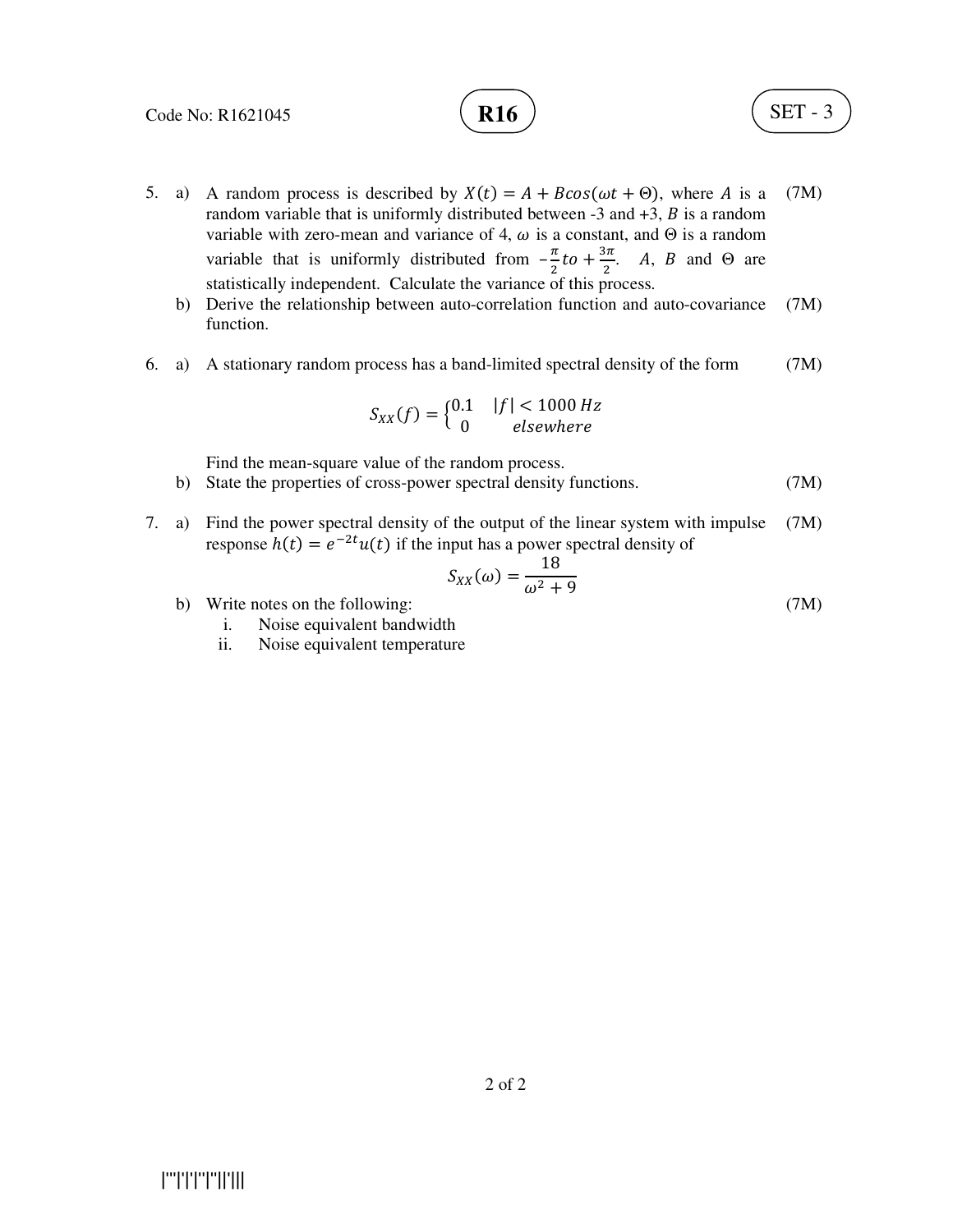



- 5. a) A random process is described by  $X(t) = A + B\cos(\omega t + \Theta)$ , where A is a random variable that is uniformly distributed between  $-3$  and  $+3$ , B is a random variable with zero-mean and variance of 4,  $\omega$  is a constant, and  $\Theta$  is a random variable that is uniformly distributed from  $-\frac{\pi}{2}$  $\frac{\pi}{2}$ to +  $\frac{3\pi}{2}$  $\frac{3\pi}{2}$ . *A*, *B* and  $\Theta$  are statistically independent. Calculate the variance of this process. (7M)
	- b) Derive the relationship between auto-correlation function and auto-covariance function. (7M)
- 6. a) A stationary random process has a band-limited spectral density of the form (7M)

$$
S_{XX}(f) = \begin{cases} 0.1 & |f| < 1000 Hz \\ 0 & elsewhere \end{cases}
$$

Find the mean-square value of the random process.

- b) State the properties of cross-power spectral density functions. (7M)
- 7. a) Find the power spectral density of the output of the linear system with impulse response  $h(t) = e^{-2t}u(t)$  if the input has a power spectral density of (7M)

$$
S_{XX}(\omega) = \frac{18}{\omega^2 + 9}
$$
\n(7M)

- b) Write notes on the following:
	- i. Noise equivalent bandwidth
	- ii. Noise equivalent temperature